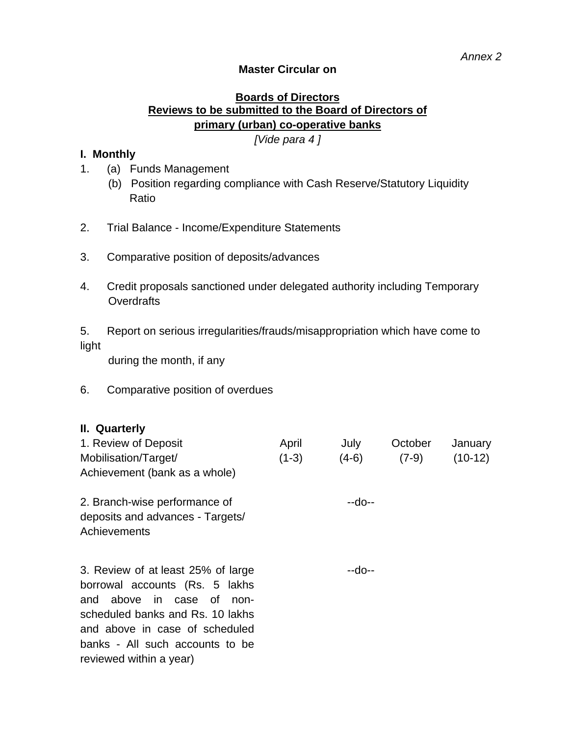### **Master Circular on**

## **Boards of Directors Reviews to be submitted to the Board of Directors of primary (urban) co-operative banks**

*[Vide para 4 ]* 

#### **I. Monthly**

- 1. (a) Funds Management
	- (b) Position regarding compliance with Cash Reserve/Statutory Liquidity Ratio
- 2. Trial Balance Income/Expenditure Statements
- 3. Comparative position of deposits/advances
- 4. Credit proposals sanctioned under delegated authority including Temporary **Overdrafts**

5. Report on serious irregularities/frauds/misappropriation which have come to light

during the month, if any

#### 6. Comparative position of overdues

#### **II. Quarterly**

| 1. Review of Deposit          | April   | July    | October | January   |
|-------------------------------|---------|---------|---------|-----------|
| Mobilisation/Target/          | $(1-3)$ | $(4-6)$ | $(7-9)$ | $(10-12)$ |
| Achievement (bank as a whole) |         |         |         |           |

| 2. Branch-wise performance of    | $-10-1$ |
|----------------------------------|---------|
| deposits and advances - Targets/ |         |
| Achievements                     |         |

3. Review of at least 25% of large borrowal accounts (Rs. 5 lakhs and above in case of nonscheduled banks and Rs. 10 lakhs and above in case of scheduled banks - All such accounts to be reviewed within a year)

--do--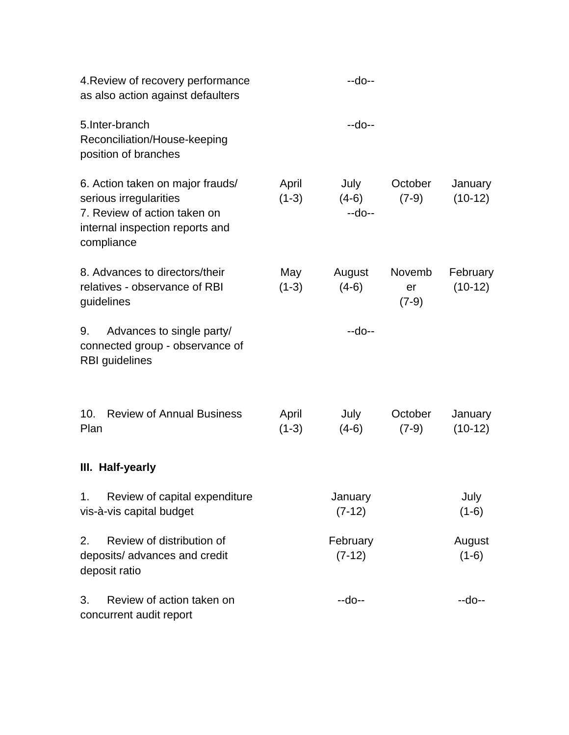| 4. Review of recovery performance<br>as also action against defaulters                                                                      |                  | $-do-$                    |                         |                       |
|---------------------------------------------------------------------------------------------------------------------------------------------|------------------|---------------------------|-------------------------|-----------------------|
| 5.Inter-branch<br>Reconciliation/House-keeping<br>position of branches                                                                      |                  | $-do-$                    |                         |                       |
| 6. Action taken on major frauds/<br>serious irregularities<br>7. Review of action taken on<br>internal inspection reports and<br>compliance | April<br>$(1-3)$ | July<br>$(4-6)$<br>$-do-$ | October<br>$(7-9)$      | January<br>$(10-12)$  |
| 8. Advances to directors/their<br>relatives - observance of RBI<br>guidelines                                                               | May<br>$(1-3)$   | August<br>$(4-6)$         | Novemb<br>er<br>$(7-9)$ | February<br>$(10-12)$ |
| Advances to single party/<br>9.<br>connected group - observance of<br><b>RBI</b> guidelines                                                 |                  | $-do-$                    |                         |                       |
| <b>Review of Annual Business</b><br>10.<br>Plan                                                                                             | April<br>$(1-3)$ | July<br>$(4-6)$           | October<br>$(7-9)$      | January<br>$(10-12)$  |
| III. Half-yearly                                                                                                                            |                  |                           |                         |                       |
| Review of capital expenditure<br>1.<br>vis-à-vis capital budget                                                                             |                  | January<br>$(7-12)$       |                         | July<br>$(1-6)$       |
| 2.<br>Review of distribution of<br>deposits/ advances and credit<br>deposit ratio                                                           |                  | February<br>$(7-12)$      |                         | August<br>$(1-6)$     |
| 3.<br>Review of action taken on<br>concurrent audit report                                                                                  |                  | --do--                    |                         | --do--                |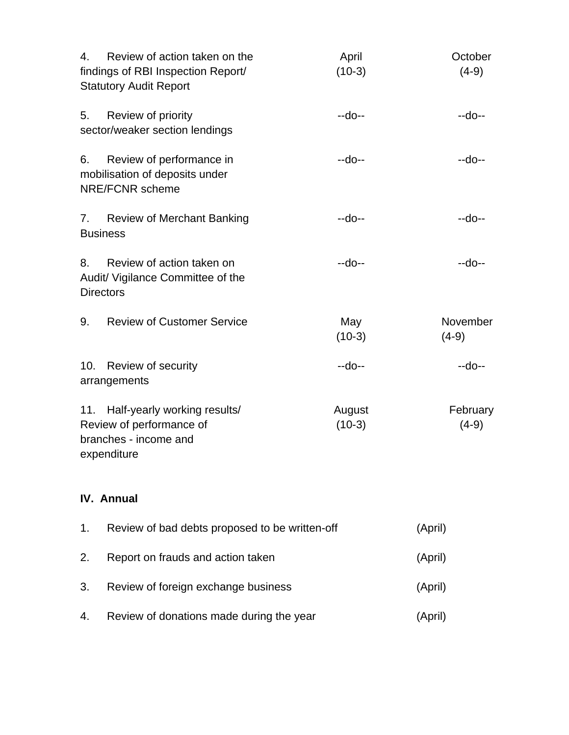| 4.<br>Review of action taken on the<br>findings of RBI Inspection Report/<br><b>Statutory Audit Report</b> | April<br>$(10-3)$  | October<br>$(4-9)$  |
|------------------------------------------------------------------------------------------------------------|--------------------|---------------------|
| 5.<br>Review of priority<br>sector/weaker section lendings                                                 | --do--             | --do--              |
| 6.<br>Review of performance in<br>mobilisation of deposits under<br><b>NRE/FCNR</b> scheme                 | --do--             | $-do-$              |
| <b>Review of Merchant Banking</b><br>7.<br><b>Business</b>                                                 | $-do-$             | --do--              |
| Review of action taken on<br>8.<br>Audit/ Vigilance Committee of the<br><b>Directors</b>                   | --do--             | $-do-$              |
| <b>Review of Customer Service</b><br>9.                                                                    | May<br>$(10-3)$    | November<br>$(4-9)$ |
| 10. Review of security<br>arrangements                                                                     | --do--             | $-do-$              |
| 11. Half-yearly working results/<br>Review of performance of<br>branches - income and<br>expenditure       | August<br>$(10-3)$ | February<br>$(4-9)$ |
|                                                                                                            |                    |                     |

# **IV. Annual**

| 1. | Review of bad debts proposed to be written-off | (April) |
|----|------------------------------------------------|---------|
| 2. | Report on frauds and action taken              | (April) |
| 3. | Review of foreign exchange business            | (April) |
| 4. | Review of donations made during the year       | (April) |